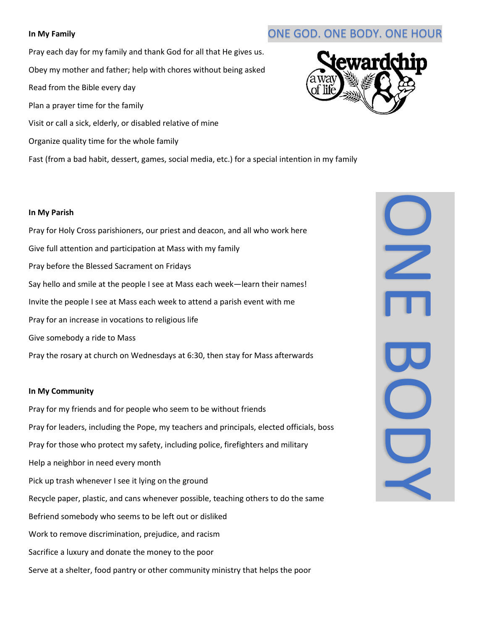Pray each day for my family and thank God for all that He gives us. Obey my mother and father; help with chores without being asked Read from the Bible every day Plan a prayer time for the family Visit or call a sick, elderly, or disabled relative of mine Organize quality time for the whole family



Fast (from a bad habit, dessert, games, social media, etc.) for a special intention in my family

### **In My Parish**

Pray for Holy Cross parishioners, our priest and deacon, and all who work here Give full attention and participation at Mass with my family Pray before the Blessed Sacrament on Fridays Say hello and smile at the people I see at Mass each week—learn their names! Invite the people I see at Mass each week to attend a parish event with me Pray for an increase in vocations to religious life Give somebody a ride to Mass

Pray the rosary at church on Wednesdays at 6:30, then stay for Mass afterwards

### **In My Community**

Pray for my friends and for people who seem to be without friends Pray for leaders, including the Pope, my teachers and principals, elected officials, boss Pray for those who protect my safety, including police, firefighters and military Help a neighbor in need every month Pick up trash whenever I see it lying on the ground Recycle paper, plastic, and cans whenever possible, teaching others to do the same Befriend somebody who seems to be left out or disliked Work to remove discrimination, prejudice, and racism Sacrifice a luxury and donate the money to the poor

Serve at a shelter, food pantry or other community ministry that helps the poor



# **In My Family In My Family ONE GOD.** ONE BODY. ONE HOUR